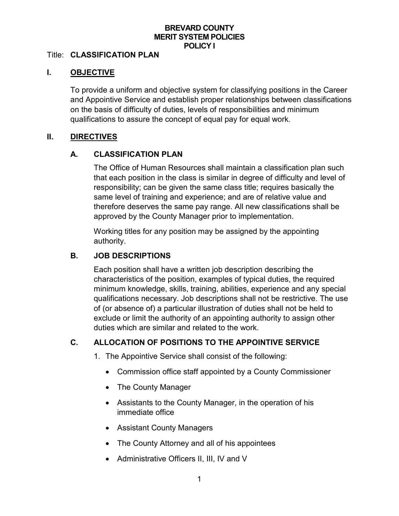## **BREVARD COUNTY MERIT SYSTEM POLICIES POLICY I**

#### Title: **CLASSIFICATION PLAN**

#### **I. OBJECTIVE**

To provide a uniform and objective system for classifying positions in the Career and Appointive Service and establish proper relationships between classifications on the basis of difficulty of duties, levels of responsibilities and minimum qualifications to assure the concept of equal pay for equal work.

#### **II. DIRECTIVES**

## **A. CLASSIFICATION PLAN**

The Office of Human Resources shall maintain a classification plan such that each position in the class is similar in degree of difficulty and level of responsibility; can be given the same class title; requires basically the same level of training and experience; and are of relative value and therefore deserves the same pay range. All new classifications shall be approved by the County Manager prior to implementation.

Working titles for any position may be assigned by the appointing authority.

## **B. JOB DESCRIPTIONS**

Each position shall have a written job description describing the characteristics of the position, examples of typical duties, the required minimum knowledge, skills, training, abilities, experience and any special qualifications necessary. Job descriptions shall not be restrictive. The use of (or absence of) a particular illustration of duties shall not be held to exclude or limit the authority of an appointing authority to assign other duties which are similar and related to the work.

# **C. ALLOCATION OF POSITIONS TO THE APPOINTIVE SERVICE**

- 1. The Appointive Service shall consist of the following:
	- Commission office staff appointed by a County Commissioner
	- The County Manager
	- Assistants to the County Manager, in the operation of his immediate office
	- Assistant County Managers
	- The County Attorney and all of his appointees
	- Administrative Officers II, III, IV and V